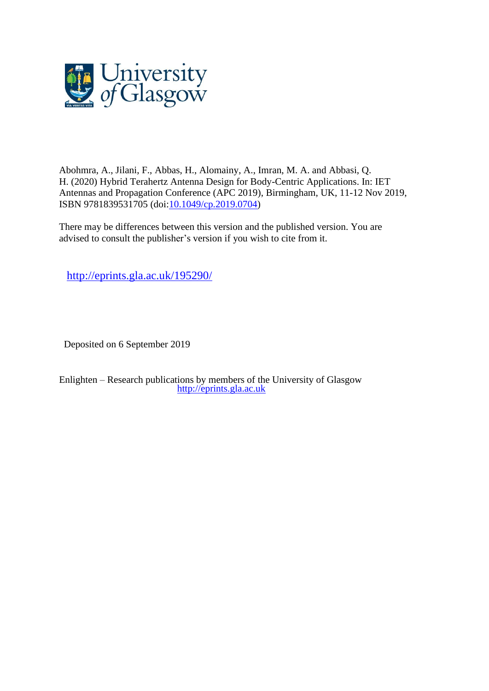

Abohmra, A., Jilani, F., Abbas, H., Alomainy, A., Imran, M. A. and Abbasi, Q. H. (2020) Hybrid Terahertz Antenna Design for Body-Centric Applications. In: IET Antennas and Propagation Conference (APC 2019), Birmingham, UK, 11-12 Nov 2019, ISBN 9781839531705 (doi[:10.1049/cp.2019.0704\)](http://dx.doi.org/10.1049/cp.2019.0704)

There may be differences between this version and the published version. You are advised to consult the publisher's version if you wish to cite from it.

<http://eprints.gla.ac.uk/195290/>

Deposited on 6 September 2019

Enlighten – Research publications by members of the University of Glasgow [http://eprints.gla.ac.uk](http://eprints.gla.ac.uk/)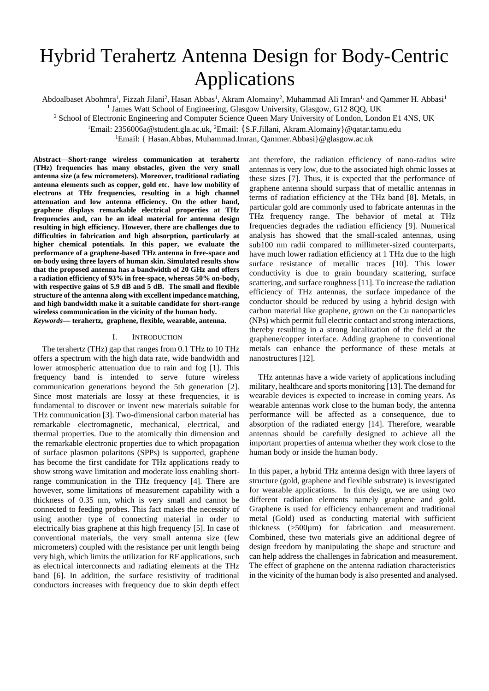# Hybrid Terahertz Antenna Design for Body-Centric Applications

Abdoalbaset Abohmra<sup>1</sup>, Fizzah Jilani<sup>2</sup>, Hasan Abbas<sup>1</sup>, Akram Alomainy<sup>2</sup>, Muhammad Ali Imran<sup>1,</sup> and Qammer H. Abbasi<sup>1</sup> <sup>1</sup> James Watt School of Engineering, Glasgow University, Glasgow, G12 8QQ, UK

<sup>2</sup> School of Electronic Engineering and Computer Science Queen Mary University of London, London E1 4NS, UK

<sup>1</sup>Email: 2356006a@student.gla.ac.uk, <sup>2</sup>Email: {S.F.Jillani, Akram.Alomainy}@qatar.tamu.edu

<sup>1</sup>Email: { Hasan.Abbas, Muhammad.Imran, Qammer.Abbasi}@glasgow.ac.uk

**Abstract—Short-range wireless communication at terahertz (THz) frequencies has many obstacles, given the very small antenna size (a few micrometers). Moreover, traditional radiating antenna elements such as copper, gold etc. have low mobility of electrons at THz frequencies, resulting in a high channel attenuation and low antenna efficiency. On the other hand, graphene displays remarkable electrical properties at THz frequencies and, can be an ideal material for antenna design resulting in high efficiency. However, there are challenges due to difficulties in fabrication and high absorption, particularly at higher chemical potentials. In this paper, we evaluate the performance of a graphene-based THz antenna in free-space and on-body using three layers of human skin. Simulated results show that the proposed antenna has a bandwidth of 20 GHz and offers a radiation efficiency of 93% in free-space, whereas 50% on-body, with respective gains of 5.9 dB and 5 dB. The small and flexible structure of the antenna along with excellent impedance matching, and high bandwidth make it a suitable candidate for short-range wireless communication in the vicinity of the human body.**  *Keywords***— terahertz, graphene, flexible, wearable, antenna.** 

### I. INTRODUCTION

The terahertz (THz) gap that ranges from 0.1 THz to 10 THz offers a spectrum with the high data rate, wide bandwidth and lower atmospheric attenuation due to rain and fog [1]. This frequency band is intended to serve future wireless communication generations beyond the 5th generation [2]. Since most materials are lossy at these frequencies, it is fundamental to discover or invent new materials suitable for THz communication [3]. Two-dimensional carbon material has remarkable electromagnetic, mechanical, electrical, and thermal properties. Due to the atomically thin dimension and the remarkable electronic properties due to which propagation of surface plasmon polaritons (SPPs) is supported, graphene has become the first candidate for THz applications ready to show strong wave limitation and moderate loss enabling shortrange communication in the THz frequency [4]. There are however, some limitations of measurement capability with a thickness of 0.35 nm, which is very small and cannot be connected to feeding probes. This fact makes the necessity of using another type of connecting material in order to electrically bias graphene at this high frequency [5]. In case of conventional materials, the very small antenna size (few micrometers) coupled with the resistance per unit length being very high, which limits the utilization for RF applications, such as electrical interconnects and radiating elements at the THz band [6]. In addition, the surface resistivity of traditional conductors increases with frequency due to skin depth effect ant therefore, the radiation efficiency of nano-radius wire antennas is very low, due to the associated high ohmic losses at these sizes [7]. Thus, it is expected that the performance of graphene antenna should surpass that of metallic antennas in terms of radiation efficiency at the THz band [8]. Metals, in particular gold are commonly used to fabricate antennas in the THz frequency range. The behavior of metal at THz frequencies degrades the radiation efficiency [9]. Numerical analysis has showed that the small-scaled antennas, using sub100 nm radii compared to millimeter-sized counterparts, have much lower radiation efficiency at 1 THz due to the high surface resistance of metallic traces [10]. This lower conductivity is due to grain boundary scattering, surface scattering, and surface roughness [11]. To increase the radiation efficiency of THz antennas, the surface impedance of the conductor should be reduced by using a hybrid design with carbon material like graphene, grown on the Cu nanoparticles (NPs) which permit full electric contact and strong interactions, thereby resulting in a strong localization of the field at the graphene/copper interface. Adding graphene to conventional metals can enhance the performance of these metals at nanostructures [12].

THz antennas have a wide variety of applications including military, healthcare and sports monitoring [13]. The demand for wearable devices is expected to increase in coming years. As wearable antennas work close to the human body, the antenna performance will be affected as a consequence, due to absorption of the radiated energy [14]. Therefore, wearable antennas should be carefully designed to achieve all the important properties of antenna whether they work close to the human body or inside the human body.

In this paper, a hybrid THz antenna design with three layers of structure (gold, graphene and flexible substrate) is investigated for wearable applications. In this design, we are using two different radiation elements namely graphene and gold. Graphene is used for efficiency enhancement and traditional metal (Gold) used as conducting material with sufficient thickness (>500µm) for fabrication and measurement. Combined, these two materials give an additional degree of design freedom by manipulating the shape and structure and can help address the challenges in fabrication and measurement. The effect of graphene on the antenna radiation characteristics in the vicinity of the human body is also presented and analysed.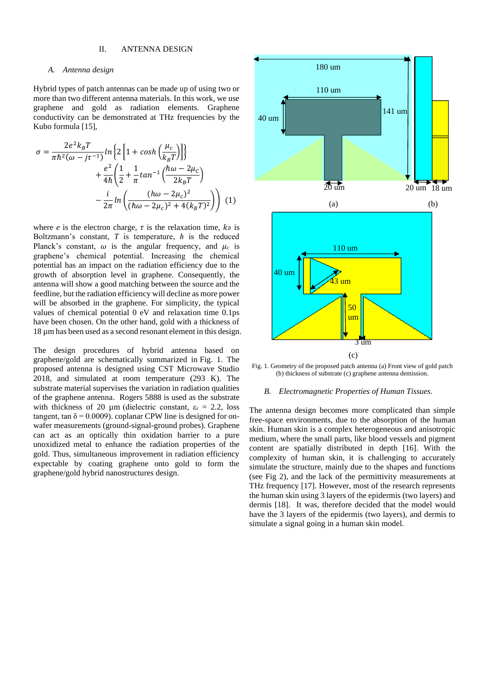# II. ANTENNA DESIGN

## *A. Antenna design*

Hybrid types of patch antennas can be made up of using two or more than two different antenna materials. In this work, we use graphene and gold as radiation elements. Graphene conductivity can be demonstrated at THz frequencies by the Kubo formula [15],

$$
\sigma = \frac{2e^2k_BT}{\pi\hbar^2(\omega - j\tau^{-1})}\ln\left\{2\left[1 + \cosh\left(\frac{\mu_c}{k_BT}\right)\right]\right\}
$$

$$
+ \frac{e^2}{4\hbar}\left(\frac{1}{2} + \frac{1}{\pi}\tan^{-1}\left(\frac{\hbar\omega - 2\mu_c}{2k_BT}\right)\right)
$$

$$
- \frac{i}{2\pi}\ln\left(\frac{(\hbar\omega - 2\mu_c)^2}{(\hbar\omega - 2\mu_c)^2 + 4(k_BT)^2}\right)\right) (1)
$$

where *e* is the electron charge,  $\tau$  is the relaxation time,  $k_B$  is Boltzmann's constant,  $T$  is temperature,  $\hbar$  is the reduced Planck's constant,  $\omega$  is the angular frequency, and  $\mu_c$  is graphene's chemical potential. Increasing the chemical potential has an impact on the radiation efficiency due to the growth of absorption level in graphene. Consequently, the antenna will show a good matching between the source and the feedline, but the radiation efficiency will decline as more power will be absorbed in the graphene. For simplicity, the typical values of chemical potential 0 eV and relaxation time 0.1ps have been chosen. On the other hand, gold with a thickness of 18 µm has been used as a second resonant element in this design.

The design procedures of hybrid antenna based on graphene/gold are schematically summarized in Fig. 1. The proposed antenna is designed using CST Microwave Studio 2018, and simulated at room temperature (293 K). The substrate material supervises the variation in radiation qualities of the graphene antenna. Rogers 5888 is used as the substrate with thickness of 20  $\mu$ m (dielectric constant,  $\varepsilon$ <sub>r</sub> = 2.2, loss tangent, tan  $\delta = 0.0009$ ). coplanar CPW line is designed for onwafer measurements (ground-signal-ground probes). Graphene can act as an optically thin oxidation barrier to a pure unoxidized metal to enhance the radiation properties of the gold. Thus, simultaneous improvement in radiation efficiency expectable by coating graphene onto gold to form the graphene/gold hybrid nanostructures design.



Fig. 1. Geometry of the proposed patch antenna (a) Front view of gold patch (b) thickness of substrate (c) graphene antenna demission.

### *B. Electromagnetic Properties of Human Tissues.*

The antenna design becomes more complicated than simple free-space environments, due to the absorption of the human skin. Human skin is a complex heterogeneous and anisotropic medium, where the small parts, like blood vessels and pigment content are spatially distributed in depth [16]. With the complexity of human skin, it is challenging to accurately simulate the structure, mainly due to the shapes and functions (see Fig 2), and the lack of the permittivity measurements at THz frequency [17]. However, most of the research represents the human skin using 3 layers of the epidermis (two layers) and dermis [18]. It was, therefore decided that the model would have the 3 layers of the epidermis (two layers), and dermis to simulate a signal going in a human skin model.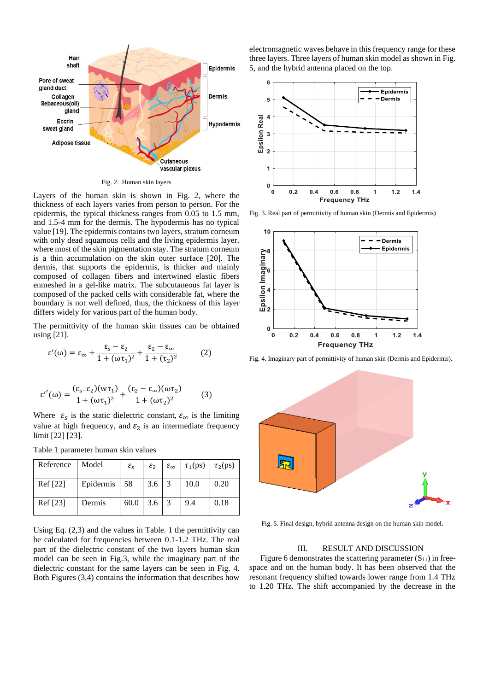

Fig. 2. Human skin layers

Layers of the human skin is shown in Fig. 2, where the thickness of each layers varies from person to person. For the epidermis, the typical thickness ranges from 0.05 to 1.5 mm, and 1.5-4 mm for the dermis. The hypodermis has no typical value [19]. The epidermis contains two layers, stratum corneum with only dead squamous cells and the living epidermis layer, where most of the skin pigmentation stay. The stratum corneum is a thin accumulation on the skin outer surface [20]. The dermis, that supports the epidermis, is thicker and mainly composed of collagen fibers and intertwined elastic fibers enmeshed in a gel-like matrix. The subcutaneous fat layer is composed of the packed cells with considerable fat, where the boundary is not well defined, thus, the thickness of this layer differs widely for various part of the human body.

The permittivity of the human skin tissues can be obtained using [21].

$$
\varepsilon'(\omega) = \varepsilon_{\infty} + \frac{\varepsilon_{\rm s} - \varepsilon_2}{1 + (\omega \tau_1)^2} + \frac{\varepsilon_2 - \varepsilon_{\infty}}{1 + (\tau_2)^2} \tag{2}
$$

$$
\varepsilon''(\omega) = \frac{(\varepsilon_{\mathsf{s}} - \varepsilon_{2})(\omega \tau_{1})}{1 + (\omega \tau_{1})^{2}} + \frac{(\varepsilon_{2} - \varepsilon_{\infty})(\omega \tau_{2})}{1 + (\omega \tau_{2})^{2}} \tag{3}
$$

Where  $\varepsilon_s$  is the static dielectric constant,  $\varepsilon_{\infty}$  is the limiting value at high frequency, and  $\varepsilon_2$  is an intermediate frequency limit [22] [23].

Table 1 parameter human skin values

| Reference | Model        | $\varepsilon_{\rm s}$ | $\varepsilon_2$ | $\varepsilon_{\infty}$ $\tau_1(ps)$ $\tau_2(ps)$ |      |
|-----------|--------------|-----------------------|-----------------|--------------------------------------------------|------|
| Ref [22]  | Epidermis 58 |                       | 3.6             | 10.0                                             | 0.20 |
| Ref [23]  | Dermis       | 60.0                  | 3.6             | 9.4                                              | 0.18 |

Using Eq. (2,3) and the values in Table. 1 the permittivity can be calculated for frequencies between 0.1-1.2 THz. The real part of the dielectric constant of the two layers human skin model can be seen in Fig.3, while the imaginary part of the dielectric constant for the same layers can be seen in Fig. 4. Both Figures (3,4) contains the information that describes how electromagnetic waves behave in this frequency range for these three layers. Three layers of human skin model as shown in Fig. 5, and the hybrid antenna placed on the top.



Fig. 3. Real part of permittivity of human skin (Dermis and Epidermis)



Fig. 4. Imaginary part of permittivity of human skin (Dermis and Epidermis).



Fig. 5. Final design, hybrid antenna design on the human skin model.

## III. RESULT AND DISCUSSION

Figure 6 demonstrates the scattering parameter  $(S_{11})$  in freespace and on the human body. It has been observed that the resonant frequency shifted towards lower range from 1.4 THz to 1.20 THz. The shift accompanied by the decrease in the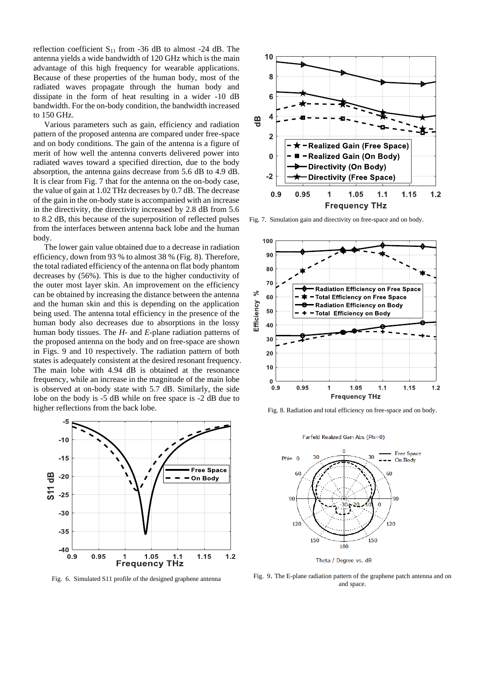reflection coefficient  $S_{11}$  from -36 dB to almost -24 dB. The antenna yields a wide bandwidth of 120 GHz which is the main advantage of this high frequency for wearable applications. Because of these properties of the human body, most of the radiated waves propagate through the human body and dissipate in the form of heat resulting in a wider -10 dB bandwidth. For the on-body condition, the bandwidth increased to 150 GHz.

Various parameters such as gain, efficiency and radiation pattern of the proposed antenna are compared under free-space and on body conditions. The gain of the antenna is a figure of merit of how well the antenna converts delivered power into radiated waves toward a specified direction, due to the body absorption, the antenna gains decrease from 5.6 dB to 4.9 dB. It is clear from Fig. 7 that for the antenna on the on-body case, the value of gain at 1.02 THz decreases by 0.7 dB. The decrease of the gain in the on-body state is accompanied with an increase in the directivity, the directivity increased by 2.8 dB from 5.6 to 8.2 dB, this because of the superposition of reflected pulses from the interfaces between antenna back lobe and the human body.

The lower gain value obtained due to a decrease in radiation efficiency, down from 93 % to almost 38 % (Fig. 8). Therefore, the total radiated efficiency of the antenna on flat body phantom decreases by (56%). This is due to the higher conductivity of the outer most layer skin. An improvement on the efficiency can be obtained by increasing the distance between the antenna and the human skin and this is depending on the application being used. The antenna total efficiency in the presence of the human body also decreases due to absorptions in the lossy human body tissues. The *H-* and *E*-plane radiation patterns of the proposed antenna on the body and on free-space are shown in Figs. 9 and 10 respectively. The radiation pattern of both states is adequately consistent at the desired resonant frequency. The main lobe with 4.94 dB is obtained at the resonance frequency, while an increase in the magnitude of the main lobe is observed at on-body state with 5.7 dB. Similarly, the side lobe on the body is -5 dB while on free space is -2 dB due to higher reflections from the back lobe.



Fig. 6. Simulated S11 profile of the designed graphene antenna



Fig. 7. Simulation gain and directivity on free-space and on body.



Fig. 8. Radiation and total efficiency on free-space and on body.



Theta / Degree vs. dB

Fig. 9. The E-plane radiation pattern of the graphene patch antenna and on and space.